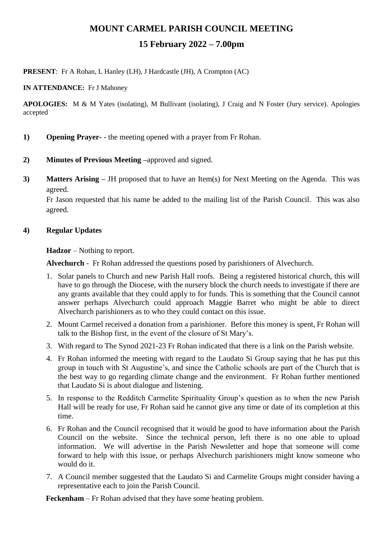# **MOUNT CARMEL PARISH COUNCIL MEETING**

## **15 February 2022 – 7.00pm**

**PRESENT**: Fr A Rohan, L Hanley (LH), J Hardcastle (JH), A Crompton (AC)

**IN ATTENDANCE:** Fr J Mahoney

**APOLOGIES:** M & M Yates (isolating), M Bullivant (isolating), J Craig and N Foster (Jury service). Apologies accepted

- **1) Opening Prayer-** the meeting opened with a prayer from Fr Rohan.
- **2) Minutes of Previous Meeting –**approved and signed.
- **3) Matters Arising –** JH proposed that to have an Item(s) for Next Meeting on the Agenda. This was agreed.

Fr Jason requested that his name be added to the mailing list of the Parish Council. This was also agreed.

### **4) Regular Updates**

**Hadzor** – Nothing to report.

**Alvechurch** - Fr Rohan addressed the questions posed by parishioners of Alvechurch.

- 1. Solar panels to Church and new Parish Hall roofs. Being a registered historical church, this will have to go through the Diocese, with the nursery block the church needs to investigate if there are any grants available that they could apply to for funds. This is something that the Council cannot answer perhaps Alvechurch could approach Maggie Barret who might be able to direct Alvechurch parishioners as to who they could contact on this issue.
- 2. Mount Carmel received a donation from a parishioner. Before this money is spent, Fr Rohan will talk to the Bishop first, in the event of the closure of St Mary's.
- 3. With regard to The Synod 2021-23 Fr Rohan indicated that there is a link on the Parish website.
- 4. Fr Rohan informed the meeting with regard to the Laudato Si Group saying that he has put this group in touch with St Augustine's, and since the Catholic schools are part of the Church that is the best way to go regarding climate change and the environment. Fr Rohan further mentioned that Laudato Si is about dialogue and listening.
- 5. In response to the Redditch Carmelite Spirituality Group's question as to when the new Parish Hall will be ready for use, Fr Rohan said he cannot give any time or date of its completion at this time.
- 6. Fr Rohan and the Council recognised that it would be good to have information about the Parish Council on the website. Since the technical person, left there is no one able to upload information. We will advertise in the Parish Newsletter and hope that someone will come forward to help with this issue, or perhaps Alvechurch parishioners might know someone who would do it.
- 7. A Council member suggested that the Laudato Si and Carmelite Groups might consider having a representative each to join the Parish Council.

**Feckenham** – Fr Rohan advised that they have some heating problem.